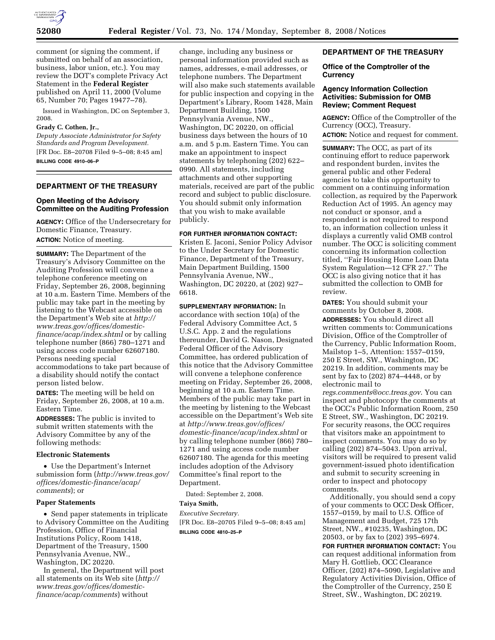

comment (or signing the comment, if submitted on behalf of an association, business, labor union, etc.). You may review the DOT's complete Privacy Act Statement in the **Federal Register**  published on April 11, 2000 (Volume 65, Number 70; Pages 19477–78).

Issued in Washington, DC on September 3, 2008.

### **Grady C. Cothen, Jr.,**

*Deputy Associate Administrator for Safety Standards and Program Development.*  [FR Doc. E8–20708 Filed 9–5–08; 8:45 am] **BILLING CODE 4910–06–P** 

## **DEPARTMENT OF THE TREASURY**

## **Open Meeting of the Advisory Committee on the Auditing Profession**

**AGENCY:** Office of the Undersecretary for Domestic Finance, Treasury. **ACTION:** Notice of meeting.

**SUMMARY:** The Department of the Treasury's Advisory Committee on the Auditing Profession will convene a telephone conference meeting on Friday, September 26, 2008, beginning at 10 a.m. Eastern Time. Members of the public may take part in the meeting by listening to the Webcast accessible on the Department's Web site at *http:// www.treas.gov/offices/domesticfinance/acap/index.shtml* or by calling telephone number (866) 780–1271 and using access code number 62607180. Persons needing special accommodations to take part because of a disability should notify the contact person listed below.

**DATES:** The meeting will be held on Friday, September 26, 2008, at 10 a.m. Eastern Time.

**ADDRESSES:** The public is invited to submit written statements with the Advisory Committee by any of the following methods:

#### **Electronic Statements**

• Use the Department's Internet submission form (*http://www.treas.gov/ offices/domestic-finance/acap/ comments*); or

### **Paper Statements**

• Send paper statements in triplicate to Advisory Committee on the Auditing Profession, Office of Financial Institutions Policy, Room 1418, Department of the Treasury, 1500 Pennsylvania Avenue, NW., Washington, DC 20220.

In general, the Department will post all statements on its Web site (*http:// www.treas.gov/offices/domesticfinance/acap/comments*) without

change, including any business or personal information provided such as names, addresses, e-mail addresses, or telephone numbers. The Department will also make such statements available for public inspection and copying in the Department's Library, Room 1428, Main Department Building, 1500 Pennsylvania Avenue, NW., Washington, DC 20220, on official business days between the hours of 10 a.m. and 5 p.m. Eastern Time. You can make an appointment to inspect statements by telephoning (202) 622– 0990. All statements, including attachments and other supporting materials, received are part of the public record and subject to public disclosure. You should submit only information that you wish to make available publicly.

#### **FOR FURTHER INFORMATION CONTACT:**

Kristen E. Jaconi, Senior Policy Advisor to the Under Secretary for Domestic Finance, Department of the Treasury, Main Department Building, 1500 Pennsylvania Avenue, NW., Washington, DC 20220, at (202) 927– 6618.

**SUPPLEMENTARY INFORMATION:** In accordance with section 10(a) of the Federal Advisory Committee Act, 5 U.S.C. App. 2 and the regulations thereunder, David G. Nason, Designated Federal Officer of the Advisory Committee, has ordered publication of this notice that the Advisory Committee will convene a telephone conference meeting on Friday, September 26, 2008, beginning at 10 a.m. Eastern Time. Members of the public may take part in the meeting by listening to the Webcast accessible on the Department's Web site at *http://www.treas.gov/offices/ domestic-finance/acap/index.shtml* or by calling telephone number (866) 780– 1271 and using access code number 62607180. The agenda for this meeting includes adoption of the Advisory Committee's final report to the Department.

Dated: September 2, 2008.

#### **Taiya Smith,**

*Executive Secretary.*  [FR Doc. E8–20705 Filed 9–5–08; 8:45 am]

**BILLING CODE 4810–25–P** 

## **DEPARTMENT OF THE TREASURY**

## **Office of the Comptroller of the Currency**

# **Agency Information Collection Activities: Submission for OMB Review; Comment Request**

**AGENCY:** Office of the Comptroller of the Currency (OCC), Treasury. **ACTION:** Notice and request for comment.

**SUMMARY:** The OCC, as part of its continuing effort to reduce paperwork and respondent burden, invites the general public and other Federal agencies to take this opportunity to comment on a continuing information collection, as required by the Paperwork Reduction Act of 1995. An agency may not conduct or sponsor, and a respondent is not required to respond to, an information collection unless it displays a currently valid OMB control number. The OCC is soliciting comment concerning its information collection titled, ''Fair Housing Home Loan Data System Regulation—12 CFR 27.'' The OCC is also giving notice that it has submitted the collection to OMB for review.

**DATES:** You should submit your comments by October 8, 2008. **ADDRESSES:** You should direct all written comments to: Communications Division, Office of the Comptroller of the Currency, Public Information Room, Mailstop 1–5, Attention: 1557–0159, 250 E Street, SW., Washington, DC 20219. In addition, comments may be sent by fax to (202) 874–4448, or by electronic mail to

*regs.comments@occ.treas.gov*. You can inspect and photocopy the comments at the OCC's Public Information Room, 250 E Street, SW., Washington, DC 20219. For security reasons, the OCC requires that visitors make an appointment to inspect comments. You may do so by calling (202) 874–5043. Upon arrival, visitors will be required to present valid government-issued photo identification and submit to security screening in order to inspect and photocopy comments.

Additionally, you should send a copy of your comments to OCC Desk Officer, 1557–0159, by mail to U.S. Office of Management and Budget, 725 17th Street, NW., #10235, Washington, DC 20503, or by fax to (202) 395–6974.

**FOR FURTHER INFORMATION CONTACT:** You can request additional information from Mary H. Gottlieb, OCC Clearance Officer, (202) 874–5090, Legislative and Regulatory Activities Division, Office of the Comptroller of the Currency, 250 E Street, SW., Washington, DC 20219.